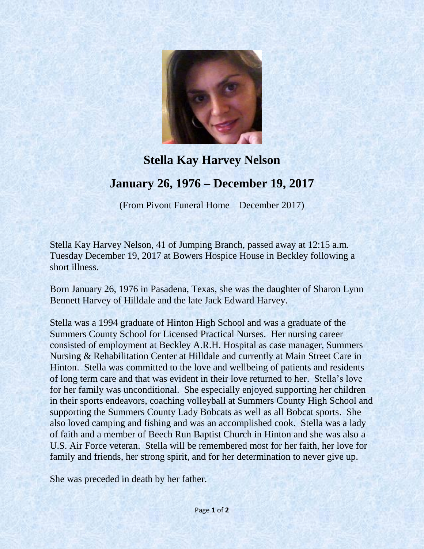

## **Stella Kay Harvey Nelson January 26, 1976 – December 19, 2017**

(From Pivont Funeral Home – December 2017)

Stella Kay Harvey Nelson, 41 of Jumping Branch, passed away at 12:15 a.m. Tuesday December 19, 2017 at Bowers Hospice House in Beckley following a short illness.

Born January 26, 1976 in Pasadena, Texas, she was the daughter of Sharon Lynn Bennett Harvey of Hilldale and the late Jack Edward Harvey.

Stella was a 1994 graduate of Hinton High School and was a graduate of the Summers County School for Licensed Practical Nurses. Her nursing career consisted of employment at Beckley A.R.H. Hospital as case manager, Summers Nursing & Rehabilitation Center at Hilldale and currently at Main Street Care in Hinton. Stella was committed to the love and wellbeing of patients and residents of long term care and that was evident in their love returned to her. Stella's love for her family was unconditional. She especially enjoyed supporting her children in their sports endeavors, coaching volleyball at Summers County High School and supporting the Summers County Lady Bobcats as well as all Bobcat sports. She also loved camping and fishing and was an accomplished cook. Stella was a lady of faith and a member of Beech Run Baptist Church in Hinton and she was also a U.S. Air Force veteran. Stella will be remembered most for her faith, her love for family and friends, her strong spirit, and for her determination to never give up.

She was preceded in death by her father.